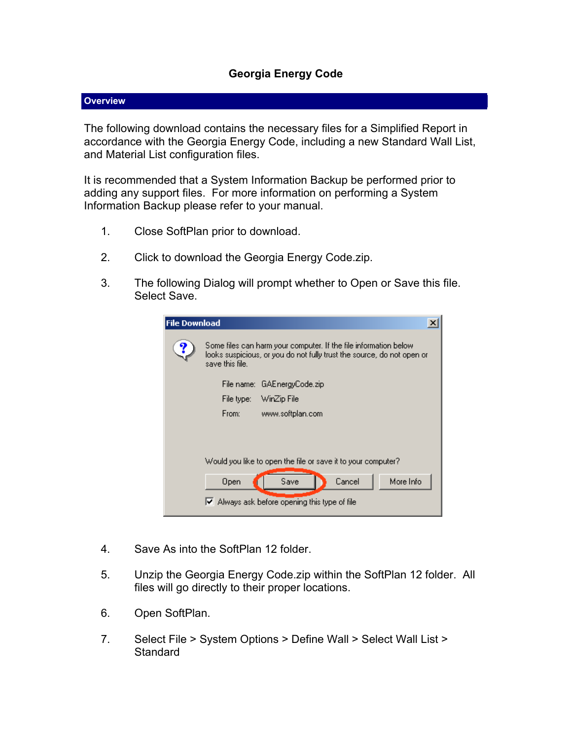## **Georgia Energy Code**

## **Overview**

The following download contains the necessary files for a Simplified Report in accordance with the Georgia Energy Code, including a new Standard Wall List, and Material List configuration files.

It is recommended that a System Information Backup be performed prior to adding any support files. For more information on performing a System Information Backup please refer to your manual.

- 1. Close SoftPlan prior to download.
- 2. Click to download the Georgia Energy Code.zip.
- 3. The following Dialog will prompt whether to Open or Save this file. Select Save.

| <b>File Download</b> |                                                                                                                                                                |
|----------------------|----------------------------------------------------------------------------------------------------------------------------------------------------------------|
|                      | Some files can harm your computer. If the file information below-<br>looks suspicious, or you do not fully trust the source, do not open or<br>save this file. |
|                      | File name: GAEnergyCode.zip                                                                                                                                    |
|                      | WinZip File<br>File type:                                                                                                                                      |
|                      | From:<br>www.softplan.com                                                                                                                                      |
|                      |                                                                                                                                                                |
|                      |                                                                                                                                                                |
|                      | Would you like to open the file or save it to your computer?                                                                                                   |
|                      | More Info<br>Cancel<br>Save<br>Open                                                                                                                            |
|                      | $\triangleright$ Always ask before opening this type of file                                                                                                   |

- 4. Save As into the SoftPlan 12 folder.
- 5. Unzip the Georgia Energy Code.zip within the SoftPlan 12 folder. All files will go directly to their proper locations.
- 6. Open SoftPlan.
- 7. Select File > System Options > Define Wall > Select Wall List > **Standard**